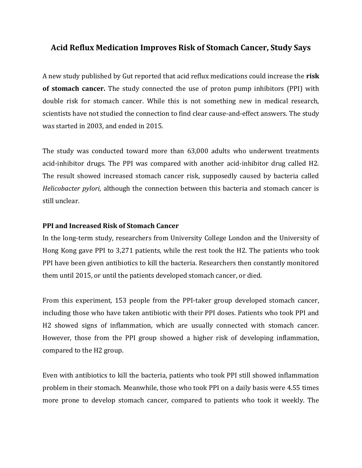## **Acid Reflux Medication Improves Risk of Stomach Cancer, Study Says**

A new study published by Gut reported that acid reflux medications could increase the **risk of stomach cancer.** The study connected the use of proton pump inhibitors (PPI) with double risk for stomach cancer. While this is not something new in medical research, scientists have not studied the connection to find clear cause-and-effect answers. The study was started in 2003, and ended in 2015.

The study was conducted toward more than 63,000 adults who underwent treatments acid-inhibitor drugs. The PPI was compared with another acid-inhibitor drug called H2. The result showed increased stomach cancer risk, supposedly caused by bacteria called *Helicobacter pylori*, although the connection between this bacteria and stomach cancer is still unclear.

## **PPI and Increased Risk of Stomach Cancer**

In the long-term study, researchers from University College London and the University of Hong Kong gave PPI to 3,271 patients, while the rest took the H2. The patients who took PPI have been given antibiotics to kill the bacteria. Researchers then constantly monitored them until 2015, or until the patients developed stomach cancer, or died.

From this experiment, 153 people from the PPI-taker group developed stomach cancer, including those who have taken antibiotic with their PPI doses. Patients who took PPI and H2 showed signs of inflammation, which are usually connected with stomach cancer. However, those from the PPI group showed a higher risk of developing inflammation, compared to the H2 group.

Even with antibiotics to kill the bacteria, patients who took PPI still showed inflammation problem in their stomach. Meanwhile, those who took PPI on a daily basis were 4.55 times more prone to develop stomach cancer, compared to patients who took it weekly. The